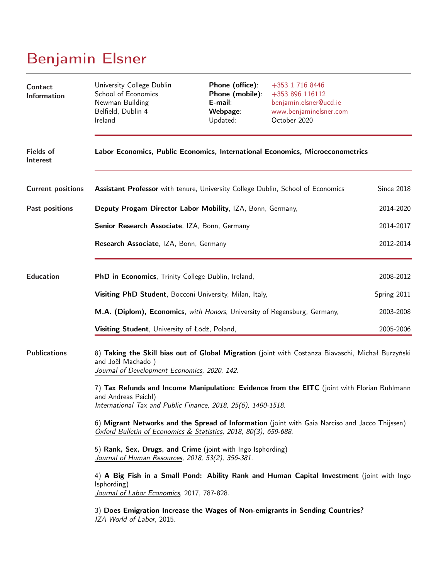# Benjamin Elsner

| Contact<br><b>Information</b>       | University College Dublin<br>School of Economics<br>Newman Building<br>Belfield, Dublin 4<br>Ireland                                                                                | Phone (office):<br>Phone (mobile):<br>E-mail:<br>Webpage:<br>Updated: | +353 1 716 8446<br>+353 896 116112<br>benjamin.elsner@ucd.ie<br>www.benjaminelsner.com<br>October 2020 |             |  |  |
|-------------------------------------|-------------------------------------------------------------------------------------------------------------------------------------------------------------------------------------|-----------------------------------------------------------------------|--------------------------------------------------------------------------------------------------------|-------------|--|--|
| <b>Fields of</b><br><b>Interest</b> | Labor Economics, Public Economics, International Economics, Microeconometrics                                                                                                       |                                                                       |                                                                                                        |             |  |  |
| <b>Current positions</b>            | Assistant Professor with tenure, University College Dublin, School of Economics                                                                                                     |                                                                       |                                                                                                        | Since 2018  |  |  |
| Past positions                      | Deputy Progam Director Labor Mobility, IZA, Bonn, Germany,                                                                                                                          |                                                                       | 2014-2020                                                                                              |             |  |  |
|                                     | Senior Research Associate, IZA, Bonn, Germany                                                                                                                                       |                                                                       |                                                                                                        | 2014-2017   |  |  |
|                                     | Research Associate, IZA, Bonn, Germany                                                                                                                                              |                                                                       |                                                                                                        | 2012-2014   |  |  |
| <b>Education</b>                    | PhD in Economics, Trinity College Dublin, Ireland,                                                                                                                                  |                                                                       | 2008-2012                                                                                              |             |  |  |
|                                     | Visiting PhD Student, Bocconi University, Milan, Italy,                                                                                                                             |                                                                       |                                                                                                        | Spring 2011 |  |  |
|                                     | M.A. (Diplom), Economics, with Honors, University of Regensburg, Germany,                                                                                                           |                                                                       |                                                                                                        | 2003-2008   |  |  |
|                                     | Visiting Student, University of Łódź, Poland,                                                                                                                                       |                                                                       |                                                                                                        | 2005-2006   |  |  |
| <b>Publications</b>                 | 8) Taking the Skill bias out of Global Migration (joint with Costanza Biavaschi, Michał Burzyński<br>and Joël Machado)<br>Journal of Development Economics, 2020, 142.              |                                                                       |                                                                                                        |             |  |  |
|                                     | 7) Tax Refunds and Income Manipulation: Evidence from the EITC (joint with Florian Buhlmann<br>and Andreas Peichl)<br>International Tax and Public Finance, 2018, 25(6), 1490-1518. |                                                                       |                                                                                                        |             |  |  |
|                                     | 6) Migrant Networks and the Spread of Information (joint with Gaia Narciso and Jacco Thijssen)<br>Oxford Bulletin of Economics & Statistics, 2018, 80(3), 659-688.                  |                                                                       |                                                                                                        |             |  |  |
|                                     | 5) Rank, Sex, Drugs, and Crime (joint with Ingo Isphording)<br>Journal of Human Resources, 2018, 53(2), 356-381.                                                                    |                                                                       |                                                                                                        |             |  |  |
|                                     | 4) A Big Fish in a Small Pond: Ability Rank and Human Capital Investment (joint with Ingo<br>(sphording)<br>Journal of Labor Economics, 2017, 787-828.                              |                                                                       |                                                                                                        |             |  |  |
|                                     | 3) Does Emigration Increase the Wages of Non-emigrants in Sending Countries?<br>IZA World of Labor, 2015.                                                                           |                                                                       |                                                                                                        |             |  |  |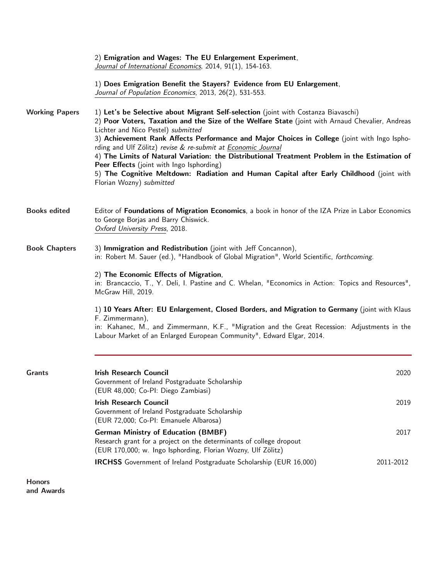| <b>Honors</b>         |                                                                                                                                                                                                                                                                                                                                                                                                                                                                                                                                                                                                                                                                                                                                                                                                                                                                                                                               |           |  |
|-----------------------|-------------------------------------------------------------------------------------------------------------------------------------------------------------------------------------------------------------------------------------------------------------------------------------------------------------------------------------------------------------------------------------------------------------------------------------------------------------------------------------------------------------------------------------------------------------------------------------------------------------------------------------------------------------------------------------------------------------------------------------------------------------------------------------------------------------------------------------------------------------------------------------------------------------------------------|-----------|--|
|                       | <b>IRCHSS</b> Government of Ireland Postgraduate Scholarship (EUR 16,000)                                                                                                                                                                                                                                                                                                                                                                                                                                                                                                                                                                                                                                                                                                                                                                                                                                                     | 2011-2012 |  |
|                       | <b>German Ministry of Education (BMBF)</b><br>Research grant for a project on the determinants of college dropout<br>(EUR 170,000; w. Ingo Isphording, Florian Wozny, Ulf Zölitz)                                                                                                                                                                                                                                                                                                                                                                                                                                                                                                                                                                                                                                                                                                                                             | 2017      |  |
|                       | <b>Irish Research Council</b><br>Government of Ireland Postgraduate Scholarship<br>(EUR 72,000; Co-PI: Emanuele Albarosa)                                                                                                                                                                                                                                                                                                                                                                                                                                                                                                                                                                                                                                                                                                                                                                                                     | 2019      |  |
| <b>Grants</b>         | <b>Irish Research Council</b><br>Government of Ireland Postgraduate Scholarship<br>(EUR 48,000; Co-PI: Diego Zambiasi)                                                                                                                                                                                                                                                                                                                                                                                                                                                                                                                                                                                                                                                                                                                                                                                                        | 2020      |  |
|                       | 1) 10 Years After: EU Enlargement, Closed Borders, and Migration to Germany (joint with Klaus<br>F. Zimmermann),<br>in: Kahanec, M., and Zimmermann, K.F., "Migration and the Great Recession: Adjustments in the<br>Labour Market of an Enlarged European Community", Edward Elgar, 2014.                                                                                                                                                                                                                                                                                                                                                                                                                                                                                                                                                                                                                                    |           |  |
|                       | 2) The Economic Effects of Migration,<br>in: Brancaccio, T., Y. Deli, I. Pastine and C. Whelan, "Economics in Action: Topics and Resources",<br>McGraw Hill, 2019.                                                                                                                                                                                                                                                                                                                                                                                                                                                                                                                                                                                                                                                                                                                                                            |           |  |
| <b>Book Chapters</b>  | 3) Immigration and Redistribution (joint with Jeff Concannon),<br>in: Robert M. Sauer (ed.), "Handbook of Global Migration", World Scientific, forthcoming.                                                                                                                                                                                                                                                                                                                                                                                                                                                                                                                                                                                                                                                                                                                                                                   |           |  |
| <b>Books edited</b>   | Editor of Foundations of Migration Economics, a book in honor of the IZA Prize in Labor Economics<br>to George Borjas and Barry Chiswick.<br>Oxford University Press, 2018.                                                                                                                                                                                                                                                                                                                                                                                                                                                                                                                                                                                                                                                                                                                                                   |           |  |
| <b>Working Papers</b> | 2) Emigration and Wages: The EU Enlargement Experiment,<br>Journal of International Economics, 2014, 91(1), 154-163.<br>1) Does Emigration Benefit the Stayers? Evidence from EU Enlargement,<br>Journal of Population Economics, 2013, 26(2), 531-553.<br>1) Let's be Selective about Migrant Self-selection (joint with Costanza Biavaschi)<br>2) Poor Voters, Taxation and the Size of the Welfare State (joint with Arnaud Chevalier, Andreas<br>Lichter and Nico Pestel) submitted<br>3) Achievement Rank Affects Performance and Major Choices in College (joint with Ingo Ispho-<br>rding and Ulf Zölitz) revise & re-submit at Economic Journal<br>4) The Limits of Natural Variation: the Distributional Treatment Problem in the Estimation of<br>Peer Effects (joint with Ingo Isphording)<br>5) The Cognitive Meltdown: Radiation and Human Capital after Early Childhood (joint with<br>Florian Wozny) submitted |           |  |

and Awards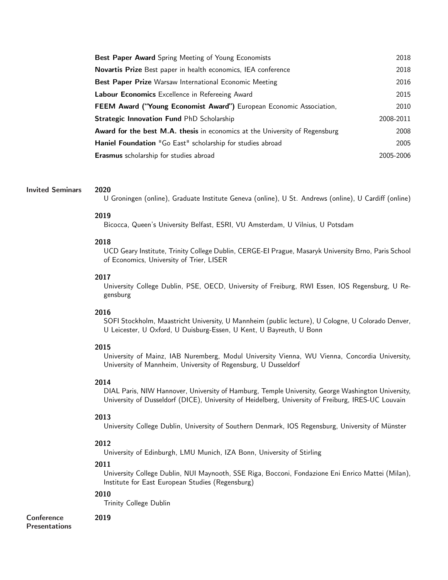| <b>Best Paper Award</b> Spring Meeting of Young Economists                         | 2018      |
|------------------------------------------------------------------------------------|-----------|
| <b>Novartis Prize</b> Best paper in health economics, IEA conference               | 2018      |
| Best Paper Prize Warsaw International Economic Meeting                             | 2016      |
| Labour Economics Excellence in Refereeing Award                                    | 2015      |
| FEEM Award ("Young Economist Award") European Economic Association,                | 2010      |
| <b>Strategic Innovation Fund PhD Scholarship</b>                                   | 2008-2011 |
| <b>Award for the best M.A. thesis</b> in economics at the University of Regensburg | 2008      |
| Haniel Foundation "Go East" scholarship for studies abroad                         | 2005      |
| <b>Erasmus</b> scholarship for studies abroad                                      | 2005-2006 |

## Invited Seminars 2020

U Groningen (online), Graduate Institute Geneva (online), U St. Andrews (online), U Cardiff (online)

## 2019

Bicocca, Queen's University Belfast, ESRI, VU Amsterdam, U Vilnius, U Potsdam

## 2018

UCD Geary Institute, Trinity College Dublin, CERGE-EI Prague, Masaryk University Brno, Paris School of Economics, University of Trier, LISER

## 2017

University College Dublin, PSE, OECD, University of Freiburg, RWI Essen, IOS Regensburg, U Regensburg

## 2016

SOFI Stockholm, Maastricht University, U Mannheim (public lecture), U Cologne, U Colorado Denver, U Leicester, U Oxford, U Duisburg-Essen, U Kent, U Bayreuth, U Bonn

## 2015

University of Mainz, IAB Nuremberg, Modul University Vienna, WU Vienna, Concordia University, University of Mannheim, University of Regensburg, U Dusseldorf

#### 2014

DIAL Paris, NIW Hannover, University of Hamburg, Temple University, George Washington University, University of Dusseldorf (DICE), University of Heidelberg, University of Freiburg, IRES-UC Louvain

#### 2013

University College Dublin, University of Southern Denmark, IOS Regensburg, University of Münster

#### 2012

University of Edinburgh, LMU Munich, IZA Bonn, University of Stirling

# 2011

University College Dublin, NUI Maynooth, SSE Riga, Bocconi, Fondazione Eni Enrico Mattei (Milan), Institute for East European Studies (Regensburg)

## 2010

Trinity College Dublin

**Conference** Presentations

# 2019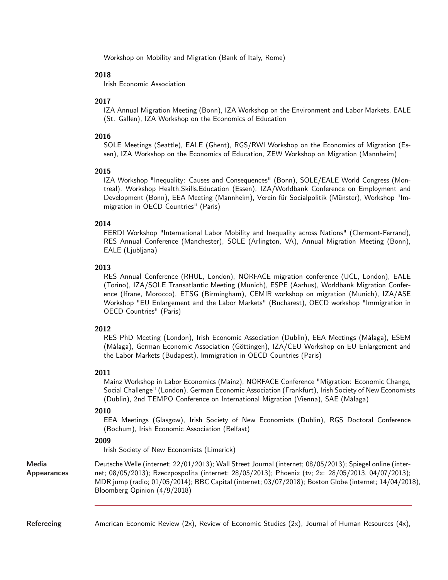Workshop on Mobility and Migration (Bank of Italy, Rome)

## 2018

Irish Economic Association

# 2017

IZA Annual Migration Meeting (Bonn), IZA Workshop on the Environment and Labor Markets, EALE (St. Gallen), IZA Workshop on the Economics of Education

## 2016

SOLE Meetings (Seattle), EALE (Ghent), RGS/RWI Workshop on the Economics of Migration (Essen), IZA Workshop on the Economics of Education, ZEW Workshop on Migration (Mannheim)

## 2015

IZA Workshop "Inequality: Causes and Consequences" (Bonn), SOLE/EALE World Congress (Montreal), Workshop Health.Skills.Education (Essen), IZA/Worldbank Conference on Employment and Development (Bonn), EEA Meeting (Mannheim), Verein für Socialpolitik (Münster), Workshop "Immigration in OECD Countries" (Paris)

## 2014

FERDI Workshop "International Labor Mobility and Inequality across Nations" (Clermont-Ferrand), RES Annual Conference (Manchester), SOLE (Arlington, VA), Annual Migration Meeting (Bonn), EALE (Ljubljana)

## 2013

RES Annual Conference (RHUL, London), NORFACE migration conference (UCL, London), EALE (Torino), IZA/SOLE Transatlantic Meeting (Munich), ESPE (Aarhus), Worldbank Migration Conference (Ifrane, Morocco), ETSG (Birmingham), CEMIR workshop on migration (Munich), IZA/ASE Workshop "EU Enlargement and the Labor Markets" (Bucharest), OECD workshop "Immigration in OECD Countries" (Paris)

## 2012

RES PhD Meeting (London), Irish Economic Association (Dublin), EEA Meetings (Málaga), ESEM (Málaga), German Economic Association (Göttingen), IZA/CEU Workshop on EU Enlargement and the Labor Markets (Budapest), Immigration in OECD Countries (Paris)

## 2011

Mainz Workshop in Labor Economics (Mainz), NORFACE Conference "Migration: Economic Change, Social Challenge" (London), German Economic Association (Frankfurt), Irish Society of New Economists (Dublin), 2nd TEMPO Conference on International Migration (Vienna), SAE (Málaga)

## 2010

EEA Meetings (Glasgow), Irish Society of New Economists (Dublin), RGS Doctoral Conference (Bochum), Irish Economic Association (Belfast)

## 2009

Irish Society of New Economists (Limerick)

Media Appearances Deutsche Welle (internet; 22/01/2013); Wall Street Journal (internet; 08/05/2013); Spiegel online (internet; 08/05/2013); Rzeczpospolita (internet; 28/05/2013); Phoenix (tv; 2x: 28/05/2013, 04/07/2013); MDR jump (radio; 01/05/2014); BBC Capital (internet; 03/07/2018); Boston Globe (internet; 14/04/2018), Bloomberg Opinion (4/9/2018)

Refereeing **American Economic Review (2x), Review of Economic Studies (2x), Journal of Human Resources (4x),**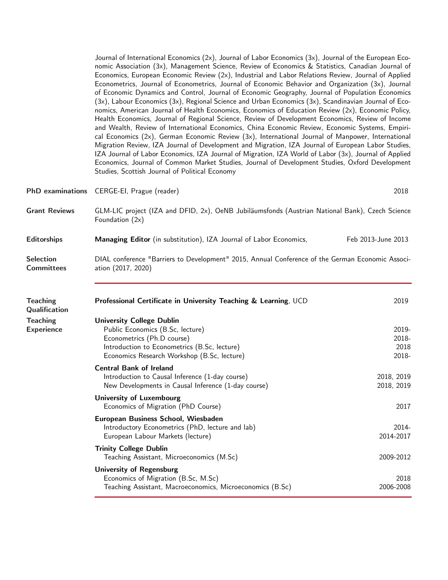|                                       | Journal of International Economics (2x), Journal of Labor Economics (3x), Journal of the European Eco-<br>nomic Association (3x), Management Science, Review of Economics & Statistics, Canadian Journal of<br>Economics, European Economic Review (2x), Industrial and Labor Relations Review, Journal of Applied<br>Econometrics, Journal of Econometrics, Journal of Economic Behavior and Organization (3x), Journal<br>of Economic Dynamics and Control, Journal of Economic Geography, Journal of Population Economics<br>(3x), Labour Economics (3x), Regional Science and Urban Economics (3x), Scandinavian Journal of Eco-<br>nomics, American Journal of Health Economics, Economics of Education Review (2x), Economic Policy,<br>Health Economics, Journal of Regional Science, Review of Development Economics, Review of Income<br>and Wealth, Review of International Economics, China Economic Review, Economic Systems, Empiri-<br>cal Economics (2x), German Economic Review (3x), International Journal of Manpower, International<br>Migration Review, IZA Journal of Development and Migration, IZA Journal of European Labor Studies,<br>IZA Journal of Labor Economics, IZA Journal of Migration, IZA World of Labor (3x), Journal of Applied<br>Economics, Journal of Common Market Studies, Journal of Development Studies, Oxford Development<br>Studies, Scottish Journal of Political Economy |                                 |  |
|---------------------------------------|----------------------------------------------------------------------------------------------------------------------------------------------------------------------------------------------------------------------------------------------------------------------------------------------------------------------------------------------------------------------------------------------------------------------------------------------------------------------------------------------------------------------------------------------------------------------------------------------------------------------------------------------------------------------------------------------------------------------------------------------------------------------------------------------------------------------------------------------------------------------------------------------------------------------------------------------------------------------------------------------------------------------------------------------------------------------------------------------------------------------------------------------------------------------------------------------------------------------------------------------------------------------------------------------------------------------------------------------------------------------------------------------------------------------------|---------------------------------|--|
| <b>PhD</b> examinations               | CERGE-EI, Prague (reader)                                                                                                                                                                                                                                                                                                                                                                                                                                                                                                                                                                                                                                                                                                                                                                                                                                                                                                                                                                                                                                                                                                                                                                                                                                                                                                                                                                                                  | 2018                            |  |
| <b>Grant Reviews</b>                  | GLM-LIC project (IZA and DFID, 2x), OeNB Jubiläumsfonds (Austrian National Bank), Czech Science<br>Foundation $(2x)$                                                                                                                                                                                                                                                                                                                                                                                                                                                                                                                                                                                                                                                                                                                                                                                                                                                                                                                                                                                                                                                                                                                                                                                                                                                                                                       |                                 |  |
| Editorships                           | Managing Editor (in substitution), IZA Journal of Labor Economics,                                                                                                                                                                                                                                                                                                                                                                                                                                                                                                                                                                                                                                                                                                                                                                                                                                                                                                                                                                                                                                                                                                                                                                                                                                                                                                                                                         | Feb 2013-June 2013              |  |
| <b>Selection</b><br><b>Committees</b> | DIAL conference "Barriers to Development" 2015, Annual Conference of the German Economic Associ-<br>ation (2017, 2020)                                                                                                                                                                                                                                                                                                                                                                                                                                                                                                                                                                                                                                                                                                                                                                                                                                                                                                                                                                                                                                                                                                                                                                                                                                                                                                     |                                 |  |
| <b>Teaching</b><br>Qualification      | Professional Certificate in University Teaching & Learning, UCD                                                                                                                                                                                                                                                                                                                                                                                                                                                                                                                                                                                                                                                                                                                                                                                                                                                                                                                                                                                                                                                                                                                                                                                                                                                                                                                                                            | 2019                            |  |
| <b>Teaching</b><br><b>Experience</b>  | <b>University College Dublin</b><br>Public Economics (B.Sc, lecture)<br>Econometrics (Ph.D course)<br>Introduction to Econometrics (B.Sc, lecture)<br>Economics Research Workshop (B.Sc, lecture)                                                                                                                                                                                                                                                                                                                                                                                                                                                                                                                                                                                                                                                                                                                                                                                                                                                                                                                                                                                                                                                                                                                                                                                                                          | 2019-<br>2018-<br>2018<br>2018- |  |
|                                       | <b>Central Bank of Ireland</b><br>Introduction to Causal Inference (1-day course)<br>New Developments in Causal Inference (1-day course)                                                                                                                                                                                                                                                                                                                                                                                                                                                                                                                                                                                                                                                                                                                                                                                                                                                                                                                                                                                                                                                                                                                                                                                                                                                                                   | 2018, 2019<br>2018, 2019        |  |
|                                       | <b>University of Luxembourg</b><br>Economics of Migration (PhD Course)                                                                                                                                                                                                                                                                                                                                                                                                                                                                                                                                                                                                                                                                                                                                                                                                                                                                                                                                                                                                                                                                                                                                                                                                                                                                                                                                                     | 2017                            |  |
|                                       | European Business School, Wiesbaden<br>Introductory Econometrics (PhD, lecture and lab)<br>European Labour Markets (lecture)                                                                                                                                                                                                                                                                                                                                                                                                                                                                                                                                                                                                                                                                                                                                                                                                                                                                                                                                                                                                                                                                                                                                                                                                                                                                                               | 2014-<br>2014-2017              |  |
|                                       | <b>Trinity College Dublin</b><br>Teaching Assistant, Microeconomics (M.Sc)                                                                                                                                                                                                                                                                                                                                                                                                                                                                                                                                                                                                                                                                                                                                                                                                                                                                                                                                                                                                                                                                                                                                                                                                                                                                                                                                                 | 2009-2012                       |  |
|                                       | <b>University of Regensburg</b><br>Economics of Migration (B.Sc, M.Sc)<br>Teaching Assistant, Macroeconomics, Microeconomics (B.Sc)                                                                                                                                                                                                                                                                                                                                                                                                                                                                                                                                                                                                                                                                                                                                                                                                                                                                                                                                                                                                                                                                                                                                                                                                                                                                                        | 2018<br>2006-2008               |  |